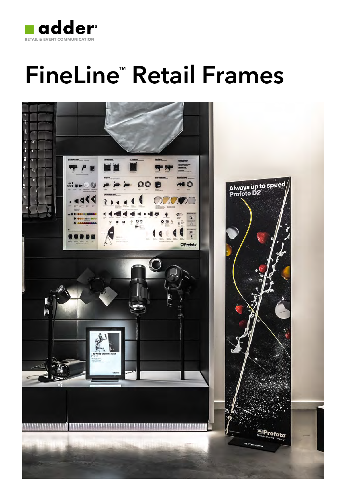

# FineLine ™ Retail Frames

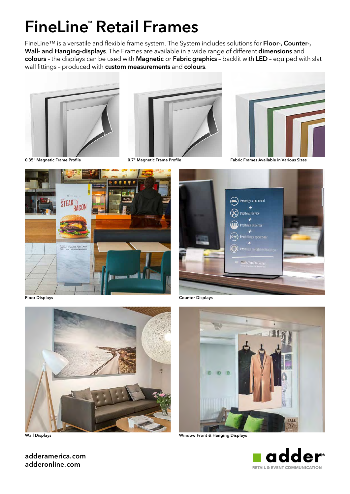# FineLine™ Retail Frames

FineLine™ is a versatile and flexible frame system. The System includes solutions for Floor-, Counter-, Wall- and Hanging-displays. The Frames are available in a wide range of different dimensions and colours - the displays can be used with Magnetic or Fabric graphics - backlit with LED - equiped with slat wall fittings - produced with custom measurements and colours.







0.35" Magnetic Frame Profile **Cabric Communist Communist Communist** Communist Communist Communist Communist Commun<br>
Communist Communist Communist Communist Communist Communist Communist Communist Communist Communist Commun





Floor Displays Counter Displays



Wall Displays



Window Front & Hanging Displays



adderamerica.com adderonline.com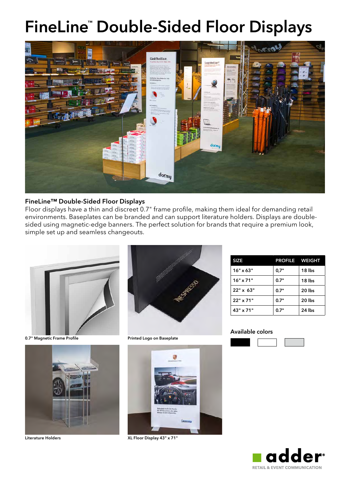### FineLine ™ Double-Sided Floor Displays



### FineLine™ Double-Sided Floor Displays

Floor displays have a thin and discreet 0.7" frame profile, making them ideal for demanding retail environments. Baseplates can be branded and can support literature holders. Displays are doublesided using magnetic-edge banners. The perfect solution for brands that require a premium look, simple set up and seamless changeouts.



0.7" Magnetic Frame Profile **Prince Access 1986** Printed Logo on Baseplate







Literature Holders **XL Floor Display 43"** x 71"

| <b>SIZE</b>      | <b>PROFILE WEIGHT</b> |        |
|------------------|-----------------------|--------|
| $16" \times 63"$ | 0.7"                  | 18 lbs |
| $16" \times 71"$ | 0.7"                  | 18 lbs |
| $22" \times 63"$ | 0.7"                  | 20 lbs |
| $22"$ x 71"      | 0.7"                  | 20 lbs |
| 43" x 71"        | 0.7"                  | 24 lbs |





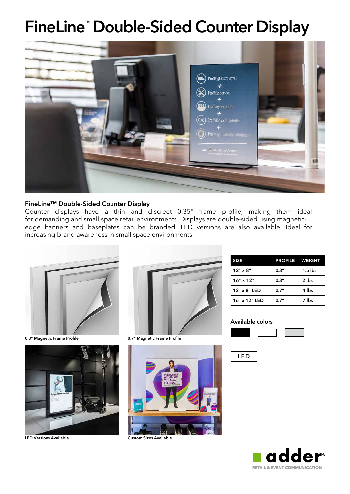### FineLine™ Double-Sided Counter Display



#### FineLine™ Double-Sided Counter Display

Counter displays have a thin and discreet 0.35" frame profile, making them ideal for demanding and small space retail environments. Displays are double-sided using magneticedge banners and baseplates can be branded. LED versions are also available. Ideal for increasing brand awareness in small space environments.



0.3" Magnetic Frame Profile **1986 COVID-100 Magnetic Frame Profile** 







LED Versions Available **Custom Sizes Available** 

| <b>SIZE</b>      | <b>PROFILE WEIGHT</b> |           |
|------------------|-----------------------|-----------|
| $12" \times 8"$  | 0.3"                  | $1.5$ lbs |
| $16" \times 12"$ | 0.3"                  | 2 lbs     |
| 12" x 8" LED     | 0.7"                  | 4 lbs     |
| 16" x 12" LED    | 0.7"                  | 7 lbs     |

#### Available colors





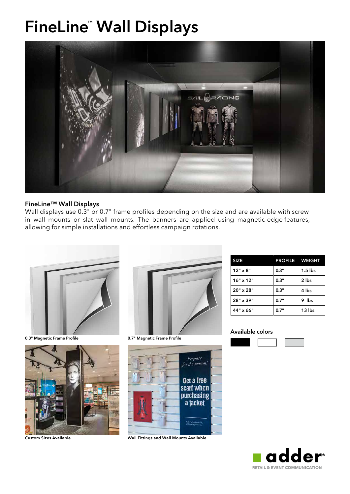### FineLine™ Wall Displays



### FineLine™ Wall Displays

Wall displays use 0.3" or 0.7" frame profiles depending on the size and are available with screw in wall mounts or slat wall mounts. The banners are applied using magnetic-edge features, allowing for simple installations and effortless campaign rotations.



0.3" Magnetic Frame Profile **1986 COVID-100 Magnetic Frame Profile** 







Custom Sizes Available Wall Fittings and Wall Mounts Available

| <b>SIZE</b>      | <b>PROFILE WEIGHT</b> |           |
|------------------|-----------------------|-----------|
| $12" \times 8"$  | 0.3"                  | $1.5$ lbs |
| $16" \times 12"$ | 0.3"                  | 2 lbs     |
| $20" \times 28"$ | 0.3"                  | 4 lbs     |
| 28" x 39"        | 0.7"                  | 9 Ibs     |
| 44" x 66"        | 0.7"                  | 13 lbs    |





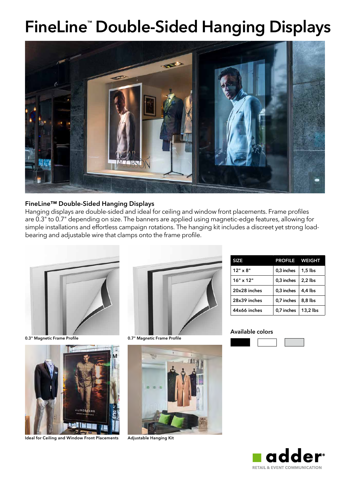# FineLine™ Double-Sided Hanging Displays



### FineLine™ Double-Sided Hanging Displays

Hanging displays are double-sided and ideal for ceiling and window front placements. Frame profiles are 0.3" to 0.7" depending on size. The banners are applied using magnetic-edge features, allowing for simple installations and effortless campaign rotations. The hanging kit includes a discreet yet strong loadbearing and adjustable wire that clamps onto the frame profile.



0.3" Magnetic Frame Profile **1986 COVID-100 Magnetic Frame Profile** 



Ideal for Ceiling and Window Front Placements Adjustable Hanging Kit





| <b>SIZE</b>      | <b>PROFILE WEIGHT</b> |           |
|------------------|-----------------------|-----------|
| $12" \times 8"$  | 0,3 inches            | $1.5$ lbs |
| $16" \times 12"$ | 0,3 inches            | $2,2$ lbs |
| 20x28 inches     | 0.3 inches            | 4,4 lbs   |
| 28x39 inches     | 0,7 inches            | 8,8 lbs   |
| 44x66 inches     | 0,7 inches            | 13,2 lbs  |

#### Available colo**r**s



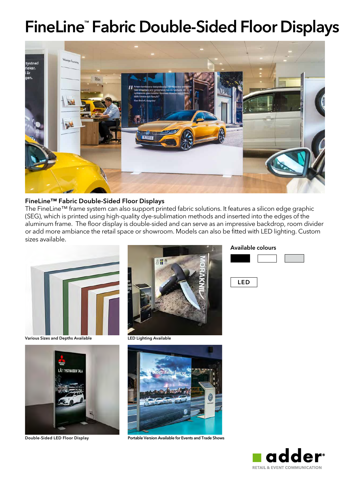### FineLine™ Fabric Double-Sided Floor Displays



#### FineLine™ Fabric Double-Sided Floor Displays

The FineLine™ frame system can also support printed fabric solutions. It features a silicon edge graphic (SEG), which is printed using high-quality dye-sublimation methods and inserted into the edges of the aluminum frame. The floor display is double-sided and can serve as an impressive backdrop, room divider or add more ambiance the retail space or showroom. Models can also be fitted with LED lighting. Custom sizes available.



Various Sizes and Depths Available **LED Lighting Available** 







Double-Sided LED Floor Display Portable Version Available for Events and Trade Shows

#### Available colours



LED



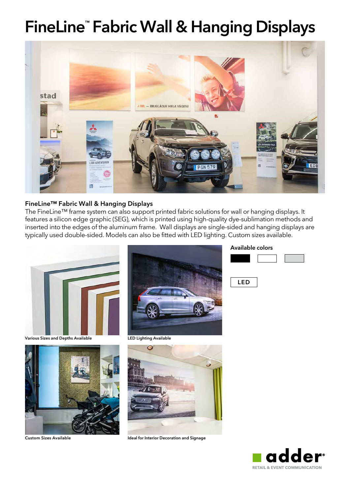# FineLine™ Fabric Wall & Hanging Displays



### FineLine™ Fabric Wall & Hanging Displays

The FineLine™ frame system can also support printed fabric solutions for wall or hanging displays. It features a silicon edge graphic (SEG), which is printed using high-quality dye-sublimation methods and inserted into the edges of the aluminum frame. Wall displays are single-sided and hanging displays are typically used double-sided. Models can also be fitted with LED lighting. Custom sizes available.



Various Sizes and Depths Available **LED Lighting Available** 







Custom Sizes Available **Interior Decoration and Signage** Ideal for Interior Decoration and Signage

### Available colors



LED